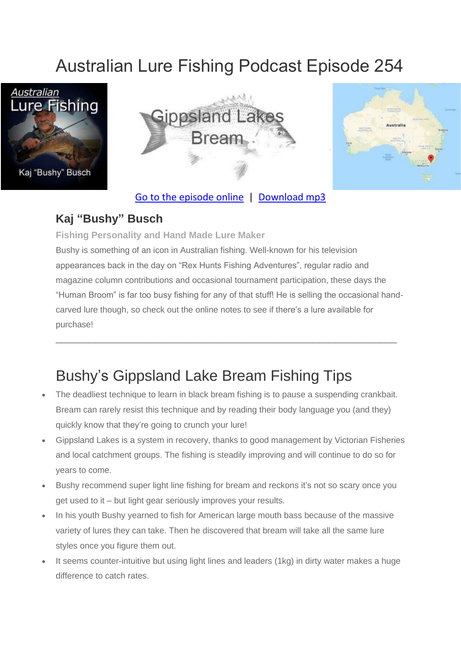# Australian Lure Fishing Podcast Episode 254







#### [Go to the episode online](https://doclures.com/gippsland-bream-bushy/) | [Download mp3](https://traffic.libsyn.com/secure/doclures/gippsland-lakes-bream-bushy.mp3)

#### **Kaj "Bushy" Busch**

**Fishing Personality and Hand Made Lure Maker**

Bushy is something of an icon in Australian fishing. Well-known for his television appearances back in the day on "Rex Hunts Fishing Adventures", regular radio and magazine column contributions and occasional tournament participation, these days the "Human Broom" is far too busy fishing for any of that stuff! He is selling the occasional handcarved lure though, so check out the online notes to see if there's a lure available for purchase!

 $\_$  , and the set of the set of the set of the set of the set of the set of the set of the set of the set of the set of the set of the set of the set of the set of the set of the set of the set of the set of the set of th

# Bushy's Gippsland Lake Bream Fishing Tips

- The deadliest technique to learn in black bream fishing is to pause a suspending crankbait. Bream can rarely resist this technique and by reading their body language you (and they) quickly know that they're going to crunch your lure!
- Gippsland Lakes is a system in recovery, thanks to good management by Victorian Fisheries and local catchment groups. The fishing is steadily improving and will continue to do so for years to come.
- Bushy recommend super light line fishing for bream and reckons it's not so scary once you get used to it – but light gear seriously improves your results.
- In his youth Bushy yearned to fish for American large mouth bass because of the massive variety of lures they can take. Then he discovered that bream will take all the same lure styles once you figure them out.
- It seems counter-intuitive but using light lines and leaders (1kg) in dirty water makes a huge difference to catch rates.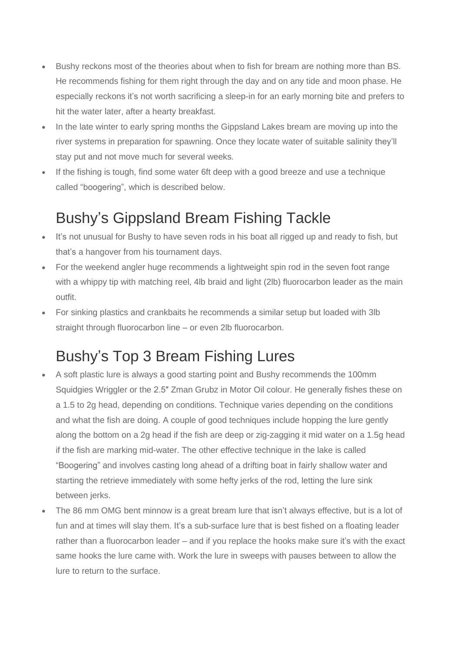- Bushy reckons most of the theories about when to fish for bream are nothing more than BS. He recommends fishing for them right through the day and on any tide and moon phase. He especially reckons it's not worth sacrificing a sleep-in for an early morning bite and prefers to hit the water later, after a hearty breakfast.
- In the late winter to early spring months the Gippsland Lakes bream are moving up into the river systems in preparation for spawning. Once they locate water of suitable salinity they'll stay put and not move much for several weeks.
- If the fishing is tough, find some water 6ft deep with a good breeze and use a technique called "boogering", which is described below.

### Bushy's Gippsland Bream Fishing Tackle

- It's not unusual for Bushy to have seven rods in his boat all rigged up and ready to fish, but that's a hangover from his tournament days.
- For the weekend angler huge recommends a lightweight spin rod in the seven foot range with a whippy tip with matching reel, 4lb braid and light (2lb) fluorocarbon leader as the main outfit.
- For sinking plastics and crankbaits he recommends a similar setup but loaded with 3lb straight through fluorocarbon line – or even 2lb fluorocarbon.

## Bushy's Top 3 Bream Fishing Lures

- A soft plastic lure is always a good starting point and Bushy recommends the 100mm Squidgies Wriggler or the 2.5″ Zman Grubz in Motor Oil colour. He generally fishes these on a 1.5 to 2g head, depending on conditions. Technique varies depending on the conditions and what the fish are doing. A couple of good techniques include hopping the lure gently along the bottom on a 2g head if the fish are deep or zig-zagging it mid water on a 1.5g head if the fish are marking mid-water. The other effective technique in the lake is called "Boogering" and involves casting long ahead of a drifting boat in fairly shallow water and starting the retrieve immediately with some hefty jerks of the rod, letting the lure sink between jerks.
- The 86 mm OMG bent minnow is a great bream lure that isn't always effective, but is a lot of fun and at times will slay them. It's a sub-surface lure that is best fished on a floating leader rather than a fluorocarbon leader – and if you replace the hooks make sure it's with the exact same hooks the lure came with. Work the lure in sweeps with pauses between to allow the lure to return to the surface.